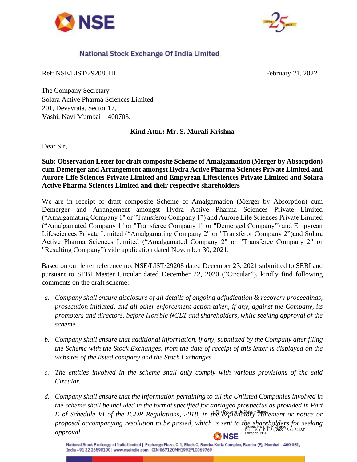



## National Stock Exchange Of India Limited

Ref: NSE/LIST/29208\_III February 21, 2022

The Company Secretary Solara Active Pharma Sciences Limited 201, Devavrata, Sector 17, Vashi, Navi Mumbai – 400703.

## **Kind Attn.: Mr. S. Murali Krishna**

Dear Sir,

## **Sub: Observation Letter for draft composite Scheme of Amalgamation (Merger by Absorption) cum Demerger and Arrangement amongst Hydra Active Pharma Sciences Private Limited and Aurore Life Sciences Private Limited and Empyrean Lifesciences Private Limited and Solara Active Pharma Sciences Limited and their respective shareholders**

We are in receipt of draft composite Scheme of Amalgamation (Merger by Absorption) cum Demerger and Arrangement amongst Hydra Active Pharma Sciences Private Limited ("Amalgamating Company 1" or "Transferor Company 1") and Aurore Life Sciences Private Limited ("Amalgamated Company 1" or "Transferee Company 1" or "Demerged Company") and Empyrean Lifesciences Private Limited ("Amalgamating Company 2" or "Transferor Company 2")and Solara Active Pharma Sciences Limited ("Amalgamated Company 2" or "Transferee Company 2" or "Resulting Company") vide application dated November 30, 2021.

Based on our letter reference no. NSE/LIST/29208 dated December 23, 2021 submitted to SEBI and pursuant to SEBI Master Circular dated December 22, 2020 ("Circular"), kindly find following comments on the draft scheme:

- *a. Company shall ensure disclosure of all details of ongoing adjudication & recovery proceedings, prosecution initiated, and all other enforcement action taken, if any, against the Company, its promoters and directors, before Hon'ble NCLT and shareholders, while seeking approval of the scheme.*
- *b. Company shall ensure that additional information, if any, submitted by the Company after filing the Scheme with the Stock Exchanges, from the date of receipt of this letter is displayed on the websites of the listed company and the Stock Exchanges.*
- *c. The entities involved in the scheme shall duly comply with various provisions of the said Circular.*
- *d. Company shall ensure that the information pertaining to all the Unlisted Companies involved in the scheme shall be included in the format specified for abridged prospectus as provided in Part*  E of Schedule VI of the ICDR Regulations, 2018, in the explanatory statement or notice or proposal accompanying resolution to be passed, which is sent to the shareholders for seeking Date: Mon, Feb 21, 2022 16:44:34 IST Location: NSE*approval.* **NSE**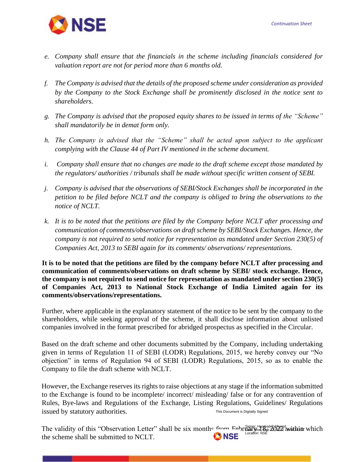

- *e. Company shall ensure that the financials in the scheme including financials considered for valuation report are not for period more than 6 months old.*
- *f. The Company is advised that the details of the proposed scheme under consideration as provided by the Company to the Stock Exchange shall be prominently disclosed in the notice sent to shareholders.*
- *g. The Company is advised that the proposed equity shares to be issued in terms of the "Scheme" shall mandatorily be in demat form only.*
- *h. The Company is advised that the "Scheme" shall be acted upon subject to the applicant complying with the Clause 44 of Part IV mentioned in the scheme document.*
- *i. Company shall ensure that no changes are made to the draft scheme except those mandated by the regulators/ authorities / tribunals shall be made without specific written consent of SEBI.*
- *j. Company is advised that the observations of SEBI/Stock Exchanges shall be incorporated in the petition to be filed before NCLT and the company is obliged to bring the observations to the notice of NCLT.*
- *k. It is to be noted that the petitions are filed by the Company before NCLT after processing and communication of comments/observations on draft scheme by SEBI/Stock Exchanges. Hence, the company is not required to send notice for representation as mandated under Section 230(5) of Companies Act, 2013 to SEBI again for its comments/ observations/ representations.*

**It is to be noted that the petitions are filed by the company before NCLT after processing and communication of comments/observations on draft scheme by SEBI/ stock exchange. Hence, the company is not required to send notice for representation as mandated under section 230(5) of Companies Act, 2013 to National Stock Exchange of India Limited again for its comments/observations/representations.** 

Further, where applicable in the explanatory statement of the notice to be sent by the company to the shareholders, while seeking approval of the scheme, it shall disclose information about unlisted companies involved in the format prescribed for abridged prospectus as specified in the Circular.

Based on the draft scheme and other documents submitted by the Company, including undertaking given in terms of Regulation 11 of SEBI (LODR) Regulations, 2015, we hereby convey our "No objection" in terms of Regulation 94 of SEBI (LODR) Regulations, 2015, so as to enable the Company to file the draft scheme with NCLT.

However, the Exchange reserves its rights to raise objections at any stage if the information submitted to the Exchange is found to be incomplete/ incorrect/ misleading/ false or for any contravention of Rules, Bye-laws and Regulations of the Exchange, Listing Regulations, Guidelines/ Regulations issued by statutory authorities. This Document is Digitally Signed

The validity of this "Observation Letter" shall be six months from  $F_{\text{c}}$  by  $\frac{1}{2}$   $\frac{1}{2}$  within which **ONSE** the scheme shall be submitted to NCLT.